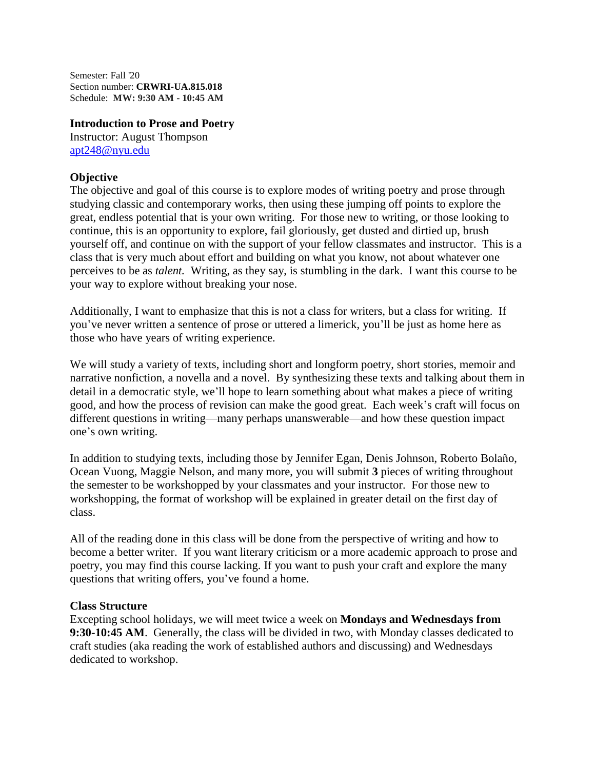Semester: Fall '20 Section number: **CRWRI-UA.815.018** Schedule: **MW: 9:30 AM - 10:45 AM**

#### **Introduction to Prose and Poetry**

Instructor: August Thompson [apt248@nyu.edu](mailto:apt248@nyu.edu)

# **Objective**

The objective and goal of this course is to explore modes of writing poetry and prose through studying classic and contemporary works, then using these jumping off points to explore the great, endless potential that is your own writing. For those new to writing, or those looking to continue, this is an opportunity to explore, fail gloriously, get dusted and dirtied up, brush yourself off, and continue on with the support of your fellow classmates and instructor. This is a class that is very much about effort and building on what you know, not about whatever one perceives to be as *talent.* Writing, as they say, is stumbling in the dark. I want this course to be your way to explore without breaking your nose.

Additionally, I want to emphasize that this is not a class for writers, but a class for writing. If you've never written a sentence of prose or uttered a limerick, you'll be just as home here as those who have years of writing experience.

We will study a variety of texts, including short and longform poetry, short stories, memoir and narrative nonfiction, a novella and a novel. By synthesizing these texts and talking about them in detail in a democratic style, we'll hope to learn something about what makes a piece of writing good, and how the process of revision can make the good great. Each week's craft will focus on different questions in writing—many perhaps unanswerable—and how these question impact one's own writing.

In addition to studying texts, including those by Jennifer Egan, Denis Johnson, Roberto Bolaño, Ocean Vuong, Maggie Nelson, and many more, you will submit **3** pieces of writing throughout the semester to be workshopped by your classmates and your instructor. For those new to workshopping, the format of workshop will be explained in greater detail on the first day of class.

All of the reading done in this class will be done from the perspective of writing and how to become a better writer. If you want literary criticism or a more academic approach to prose and poetry, you may find this course lacking. If you want to push your craft and explore the many questions that writing offers, you've found a home.

## **Class Structure**

Excepting school holidays, we will meet twice a week on **Mondays and Wednesdays from 9:30-10:45 AM**. Generally, the class will be divided in two, with Monday classes dedicated to craft studies (aka reading the work of established authors and discussing) and Wednesdays dedicated to workshop.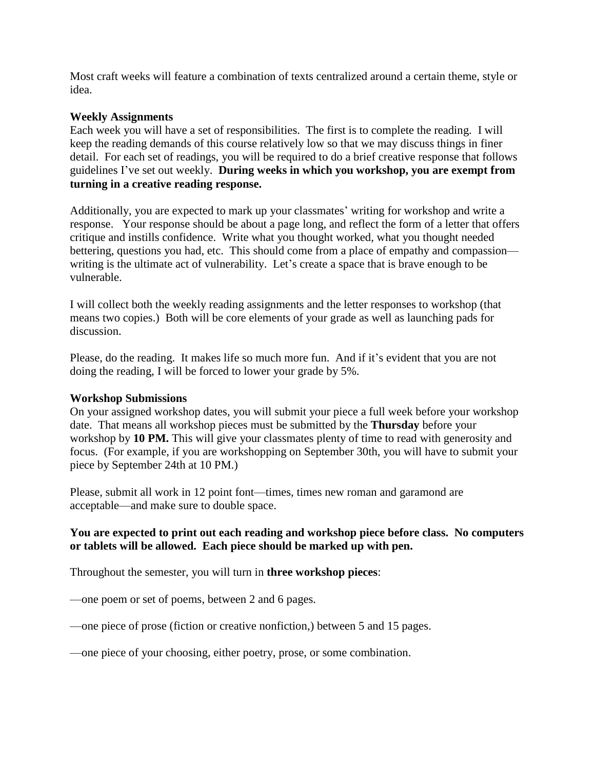Most craft weeks will feature a combination of texts centralized around a certain theme, style or idea.

## **Weekly Assignments**

Each week you will have a set of responsibilities. The first is to complete the reading. I will keep the reading demands of this course relatively low so that we may discuss things in finer detail. For each set of readings, you will be required to do a brief creative response that follows guidelines I've set out weekly. **During weeks in which you workshop, you are exempt from turning in a creative reading response.** 

Additionally, you are expected to mark up your classmates' writing for workshop and write a response. Your response should be about a page long, and reflect the form of a letter that offers critique and instills confidence. Write what you thought worked, what you thought needed bettering, questions you had, etc. This should come from a place of empathy and compassion writing is the ultimate act of vulnerability. Let's create a space that is brave enough to be vulnerable.

I will collect both the weekly reading assignments and the letter responses to workshop (that means two copies.) Both will be core elements of your grade as well as launching pads for discussion.

Please, do the reading. It makes life so much more fun. And if it's evident that you are not doing the reading, I will be forced to lower your grade by 5%.

#### **Workshop Submissions**

On your assigned workshop dates, you will submit your piece a full week before your workshop date. That means all workshop pieces must be submitted by the **Thursday** before your workshop by **10 PM.** This will give your classmates plenty of time to read with generosity and focus. (For example, if you are workshopping on September 30th, you will have to submit your piece by September 24th at 10 PM.)

Please, submit all work in 12 point font—times, times new roman and garamond are acceptable—and make sure to double space.

# **You are expected to print out each reading and workshop piece before class. No computers or tablets will be allowed. Each piece should be marked up with pen.**

Throughout the semester, you will turn in **three workshop pieces**:

—one poem or set of poems, between 2 and 6 pages.

—one piece of prose (fiction or creative nonfiction,) between 5 and 15 pages.

—one piece of your choosing, either poetry, prose, or some combination.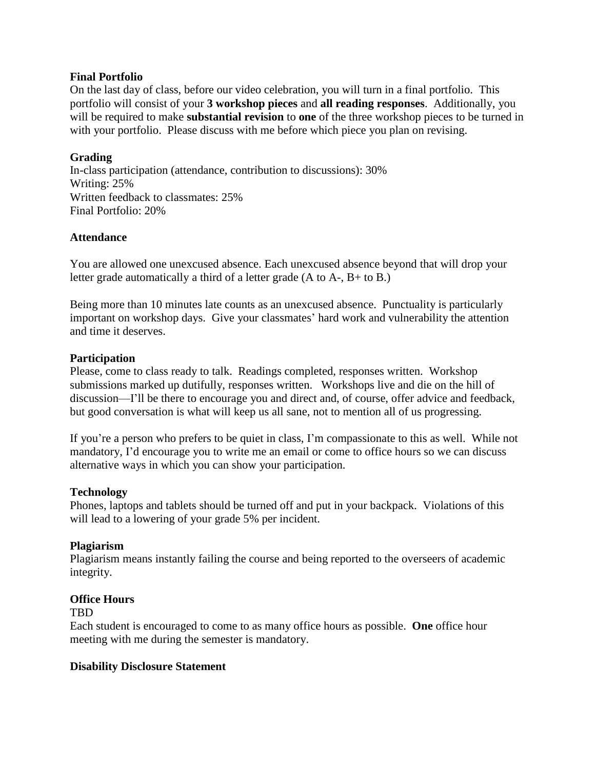## **Final Portfolio**

On the last day of class, before our video celebration, you will turn in a final portfolio. This portfolio will consist of your **3 workshop pieces** and **all reading responses**. Additionally, you will be required to make **substantial revision** to **one** of the three workshop pieces to be turned in with your portfolio. Please discuss with me before which piece you plan on revising.

# **Grading**

In-class participation (attendance, contribution to discussions): 30% Writing: 25% Written feedback to classmates: 25% Final Portfolio: 20%

## **Attendance**

You are allowed one unexcused absence. Each unexcused absence beyond that will drop your letter grade automatically a third of a letter grade (A to A-, B+ to B.)

Being more than 10 minutes late counts as an unexcused absence. Punctuality is particularly important on workshop days. Give your classmates' hard work and vulnerability the attention and time it deserves.

## **Participation**

Please, come to class ready to talk. Readings completed, responses written. Workshop submissions marked up dutifully, responses written. Workshops live and die on the hill of discussion—I'll be there to encourage you and direct and, of course, offer advice and feedback, but good conversation is what will keep us all sane, not to mention all of us progressing.

If you're a person who prefers to be quiet in class, I'm compassionate to this as well. While not mandatory, I'd encourage you to write me an email or come to office hours so we can discuss alternative ways in which you can show your participation.

## **Technology**

Phones, laptops and tablets should be turned off and put in your backpack. Violations of this will lead to a lowering of your grade 5% per incident.

## **Plagiarism**

Plagiarism means instantly failing the course and being reported to the overseers of academic integrity.

## **Office Hours**

## TBD

Each student is encouraged to come to as many office hours as possible. **One** office hour meeting with me during the semester is mandatory.

## **Disability Disclosure Statement**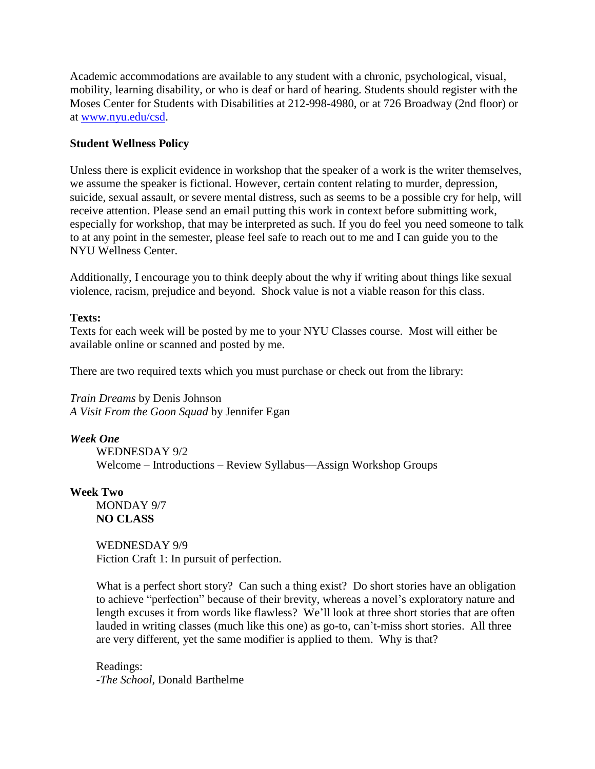Academic accommodations are available to any student with a chronic, psychological, visual, mobility, learning disability, or who is deaf or hard of hearing. Students should register with the Moses Center for Students with Disabilities at 212-998-4980, or at 726 Broadway (2nd floor) or at [www.nyu.edu/csd.](http://www.nyu.edu/csd)

# **Student Wellness Policy**

Unless there is explicit evidence in workshop that the speaker of a work is the writer themselves, we assume the speaker is fictional. However, certain content relating to murder, depression, suicide, sexual assault, or severe mental distress, such as seems to be a possible cry for help, will receive attention. Please send an email putting this work in context before submitting work, especially for workshop, that may be interpreted as such. If you do feel you need someone to talk to at any point in the semester, please feel safe to reach out to me and I can guide you to the NYU Wellness Center.

Additionally, I encourage you to think deeply about the why if writing about things like sexual violence, racism, prejudice and beyond. Shock value is not a viable reason for this class.

## **Texts:**

Texts for each week will be posted by me to your NYU Classes course. Most will either be available online or scanned and posted by me.

There are two required texts which you must purchase or check out from the library:

*Train Dreams* by Denis Johnson *A Visit From the Goon Squad* by Jennifer Egan

*Week One*

WEDNESDAY 9/2 Welcome – Introductions – Review Syllabus—Assign Workshop Groups

## **Week Two**

MONDAY 9/7 **NO CLASS**

WEDNESDAY 9/9 Fiction Craft 1: In pursuit of perfection.

What is a perfect short story? Can such a thing exist? Do short stories have an obligation to achieve "perfection" because of their brevity, whereas a novel's exploratory nature and length excuses it from words like flawless? We'll look at three short stories that are often lauded in writing classes (much like this one) as go-to, can't-miss short stories. All three are very different, yet the same modifier is applied to them. Why is that?

Readings: *-The School,* Donald Barthelme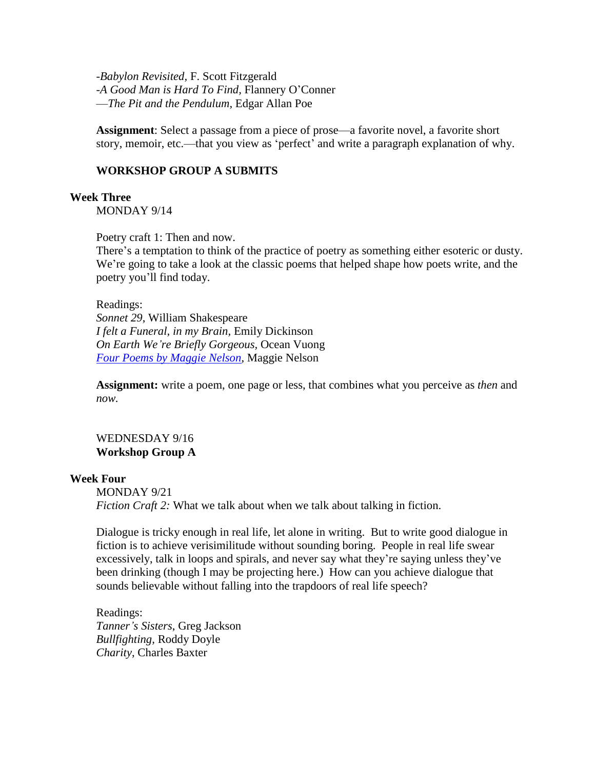-*Babylon Revisited,* F. Scott Fitzgerald -*A Good Man is Hard To Find,* Flannery O'Conner —*The Pit and the Pendulum,* Edgar Allan Poe

**Assignment**: Select a passage from a piece of prose—a favorite novel, a favorite short story, memoir, etc.—that you view as 'perfect' and write a paragraph explanation of why.

### **WORKSHOP GROUP A SUBMITS**

#### **Week Three**

MONDAY 9/14

Poetry craft 1: Then and now.

There's a temptation to think of the practice of poetry as something either esoteric or dusty. We're going to take a look at the classic poems that helped shape how poets write, and the poetry you'll find today.

Readings: *Sonnet 29*, William Shakespeare *I felt a Funeral, in my Brain,* Emily Dickinson *On Earth We're Briefly Gorgeous,* Ocean Vuong *Four Poems by [Maggie](https://bombmagazine.org/articles/maggie-nelson-poems/) Nelson*, Maggie Nelson

**Assignment:** write a poem, one page or less, that combines what you perceive as *then* and *now.*

# WEDNESDAY 9/16 **Workshop Group A**

#### **Week Four**

MONDAY 9/21 *Fiction Craft 2:* What we talk about when we talk about talking in fiction.

Dialogue is tricky enough in real life, let alone in writing. But to write good dialogue in fiction is to achieve verisimilitude without sounding boring. People in real life swear excessively, talk in loops and spirals, and never say what they're saying unless they've been drinking (though I may be projecting here.) How can you achieve dialogue that sounds believable without falling into the trapdoors of real life speech?

Readings: *Tanner's Sisters*, Greg Jackson *Bullfighting,* Roddy Doyle *Charity*, Charles Baxter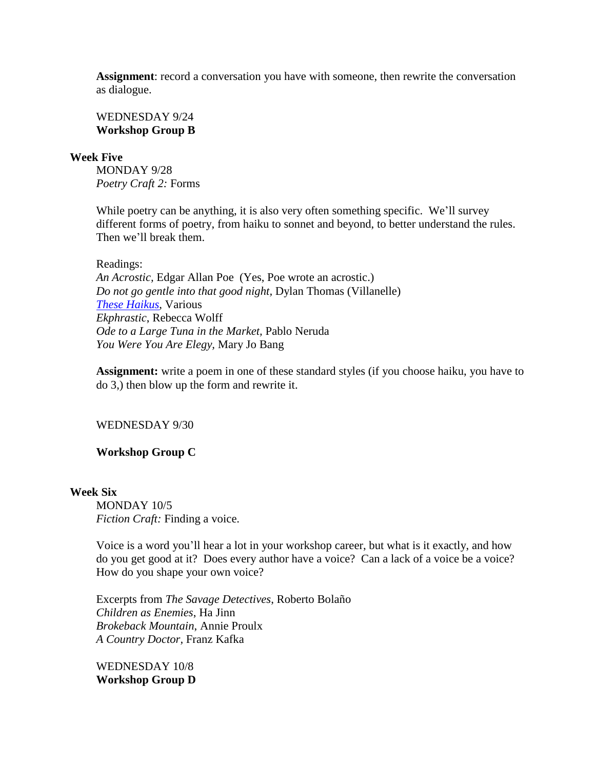**Assignment**: record a conversation you have with someone, then rewrite the conversation as dialogue.

WEDNESDAY 9/24 **Workshop Group B**

#### **Week Five**

MONDAY 9/28 *Poetry Craft 2:* Forms

While poetry can be anything, it is also very often something specific. We'll survey different forms of poetry, from haiku to sonnet and beyond, to better understand the rules. Then we'll break them.

#### Readings:

*An Acrostic,* Edgar Allan Poe (Yes, Poe wrote an acrostic.) *Do not go gentle into that good night,* Dylan Thomas (Villanelle) *These [Haikus](http://www.haiku-poetry.org/famous-haiku.html)*, Various *Ekphrastic*, Rebecca Wolff *Ode to a Large Tuna in the Market,* Pablo Neruda *You Were You Are Elegy,* Mary Jo Bang

**Assignment:** write a poem in one of these standard styles (if you choose haiku, you have to do 3,) then blow up the form and rewrite it.

## WEDNESDAY 9/30

#### **Workshop Group C**

### **Week Six**

MONDAY 10/5 *Fiction Craft:* Finding a voice.

Voice is a word you'll hear a lot in your workshop career, but what is it exactly, and how do you get good at it? Does every author have a voice? Can a lack of a voice be a voice? How do you shape your own voice?

Excerpts from *The Savage Detectives*, Roberto Bolaño *Children as Enemies*, Ha Jinn *Brokeback Mountain*, Annie Proulx *A Country Doctor,* Franz Kafka

WEDNESDAY 10/8 **Workshop Group D**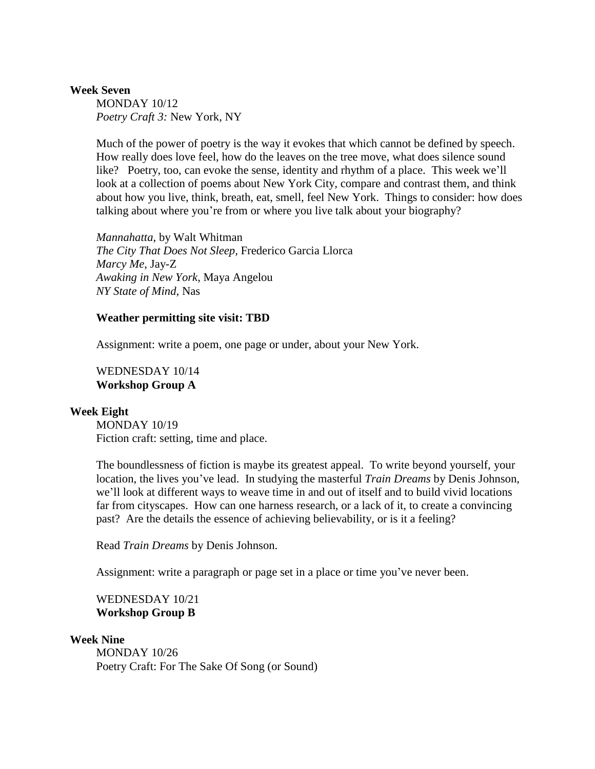#### **Week Seven**

MONDAY 10/12 *Poetry Craft 3:* New York, NY

Much of the power of poetry is the way it evokes that which cannot be defined by speech. How really does love feel, how do the leaves on the tree move, what does silence sound like? Poetry, too, can evoke the sense, identity and rhythm of a place. This week we'll look at a collection of poems about New York City, compare and contrast them, and think about how you live, think, breath, eat, smell, feel New York. Things to consider: how does talking about where you're from or where you live talk about your biography?

*Mannahatta*, by Walt Whitman *The City That Does Not Sleep,* Frederico Garcia Llorca *Marcy Me*, Jay-Z *Awaking in New York,* Maya Angelou *NY State of Mind*, Nas

#### **Weather permitting site visit: TBD**

Assignment: write a poem, one page or under, about your New York.

### WEDNESDAY 10/14 **Workshop Group A**

#### **Week Eight**

MONDAY 10/19 Fiction craft: setting, time and place.

The boundlessness of fiction is maybe its greatest appeal. To write beyond yourself, your location, the lives you've lead. In studying the masterful *Train Dreams* by Denis Johnson, we'll look at different ways to weave time in and out of itself and to build vivid locations far from cityscapes. How can one harness research, or a lack of it, to create a convincing past? Are the details the essence of achieving believability, or is it a feeling?

Read *Train Dreams* by Denis Johnson.

Assignment: write a paragraph or page set in a place or time you've never been.

WEDNESDAY 10/21 **Workshop Group B**

#### **Week Nine**

MONDAY 10/26 Poetry Craft: For The Sake Of Song (or Sound)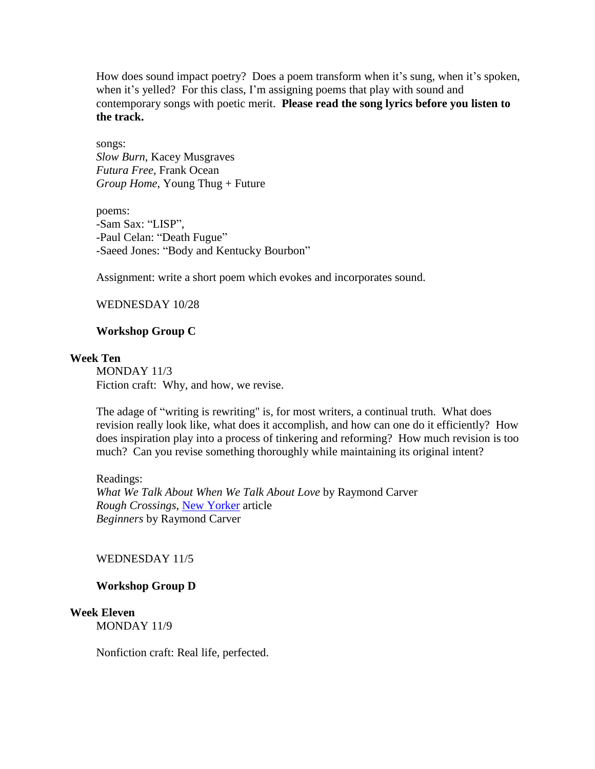How does sound impact poetry? Does a poem transform when it's sung, when it's spoken, when it's yelled? For this class, I'm assigning poems that play with sound and contemporary songs with poetic merit. **Please read the song lyrics before you listen to the track.** 

songs: *Slow Burn,* Kacey Musgraves *Futura Free,* Frank Ocean *Group Home*, Young Thug + Future

poems: -Sam Sax: "LISP", -Paul Celan: "Death Fugue" -Saeed Jones: "Body and Kentucky Bourbon"

Assignment: write a short poem which evokes and incorporates sound.

# WEDNESDAY 10/28

## **Workshop Group C**

#### **Week Ten**

MONDAY 11/3 Fiction craft: Why, and how, we revise.

The adage of "writing is rewriting" is, for most writers, a continual truth. What does revision really look like, what does it accomplish, and how can one do it efficiently? How does inspiration play into a process of tinkering and reforming? How much revision is too much? Can you revise something thoroughly while maintaining its original intent?

Readings: *What We Talk About When We Talk About Love* by Raymond Carver *Rough Crossings*, New [Yorker](https://www.newyorker.com/magazine/2007/12/24/rough-crossings) article *Beginners* by Raymond Carver

#### WEDNESDAY 11/5

#### **Workshop Group D**

## **Week Eleven**

MONDAY 11/9

Nonfiction craft: Real life, perfected.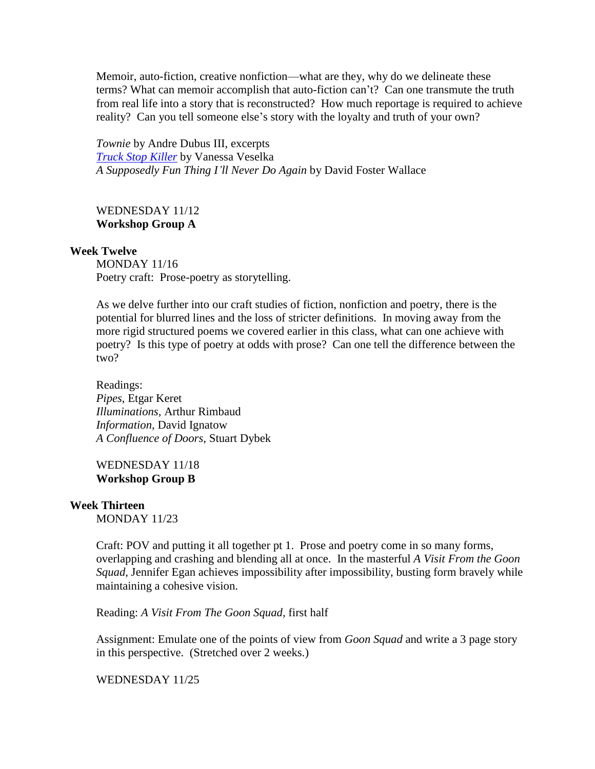Memoir, auto-fiction, creative nonfiction—what are they, why do we delineate these terms? What can memoir accomplish that auto-fiction can't? Can one transmute the truth from real life into a story that is reconstructed? How much reportage is required to achieve reality? Can you tell someone else's story with the loyalty and truth of your own?

*Townie* by Andre Dubus III, excerpts *Truck Stop [Killer](https://www.gq.com/story/truck-stop-killer-gq-november-2012)* by Vanessa Veselka *A Supposedly Fun Thing I'll Never Do Again* by David Foster Wallace

# WEDNESDAY 11/12 **Workshop Group A**

### **Week Twelve**

MONDAY 11/16 Poetry craft: Prose-poetry as storytelling.

As we delve further into our craft studies of fiction, nonfiction and poetry, there is the potential for blurred lines and the loss of stricter definitions. In moving away from the more rigid structured poems we covered earlier in this class, what can one achieve with poetry? Is this type of poetry at odds with prose? Can one tell the difference between the two?

Readings: *Pipes*, Etgar Keret *Illuminations,* Arthur Rimbaud *Information*, David Ignatow *A Confluence of Doors*, Stuart Dybek

WEDNESDAY 11/18 **Workshop Group B**

#### **Week Thirteen**

MONDAY 11/23

Craft: POV and putting it all together pt 1. Prose and poetry come in so many forms, overlapping and crashing and blending all at once. In the masterful *A Visit From the Goon Squad*, Jennifer Egan achieves impossibility after impossibility, busting form bravely while maintaining a cohesive vision.

Reading: *A Visit From The Goon Squad,* first half

Assignment: Emulate one of the points of view from *Goon Squad* and write a 3 page story in this perspective. (Stretched over 2 weeks.)

WEDNESDAY 11/25